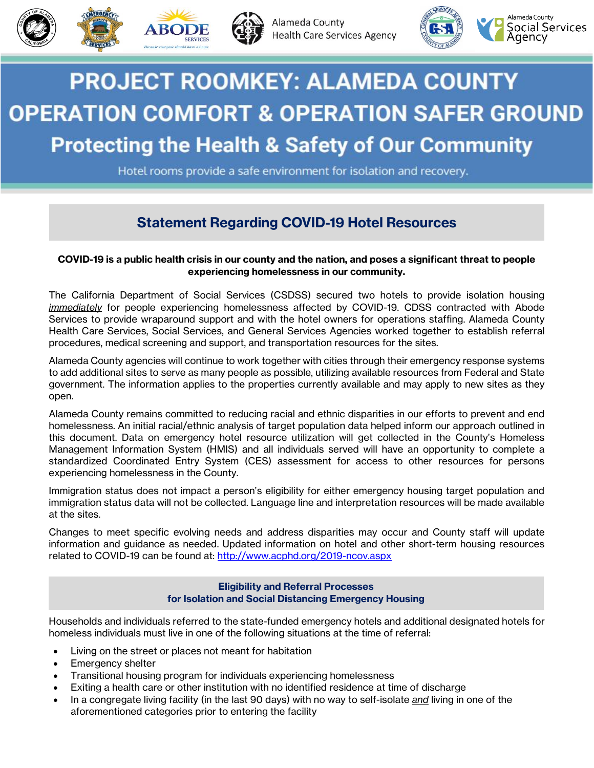



Alameda County **Health Care Services Agency** 



# **PROJECT ROOMKEY: ALAMEDA COUNTY OPERATION COMFORT & OPERATION SAFER GROUND Protecting the Health & Safety of Our Community**

Hotel rooms provide a safe environment for isolation and recovery.

## **Statement Regarding COVID-19 Hotel Resources**

#### **COVID-19 is a public health crisis in our county and the nation, and poses a significant threat to people experiencing homelessness in our community.**

The California Department of Social Services (CSDSS) secured two hotels to provide isolation housing *immediately* for people experiencing homelessness affected by COVID-19. CDSS contracted with Abode Services to provide wraparound support and with the hotel owners for operations staffing. Alameda County Health Care Services, Social Services, and General Services Agencies worked together to establish referral procedures, medical screening and support, and transportation resources for the sites.

Alameda County agencies will continue to work together with cities through their emergency response systems to add additional sites to serve as many people as possible, utilizing available resources from Federal and State government. The information applies to the properties currently available and may apply to new sites as they open.

Alameda County remains committed to reducing racial and ethnic disparities in our efforts to prevent and end homelessness. An initial racial/ethnic analysis of target population data helped inform our approach outlined in this document. Data on emergency hotel resource utilization will get collected in the County's Homeless Management Information System (HMIS) and all individuals served will have an opportunity to complete a standardized Coordinated Entry System (CES) assessment for access to other resources for persons experiencing homelessness in the County.

Immigration status does not impact a person's eligibility for either emergency housing target population and immigration status data will not be collected. Language line and interpretation resources will be made available at the sites.

Changes to meet specific evolving needs and address disparities may occur and County staff will update information and guidance as needed. Updated information on hotel and other short-term housing resources related to COVID-19 can be found at: <http://www.acphd.org/2019-ncov.aspx>

#### **Eligibility and Referral Processes for Isolation and Social Distancing Emergency Housing**

Households and individuals referred to the state-funded emergency hotels and additional designated hotels for homeless individuals must live in one of the following situations at the time of referral:

- Living on the street or places not meant for habitation
- Emergency shelter
- Transitional housing program for individuals experiencing homelessness
- Exiting a health care or other institution with no identified residence at time of discharge
- In a congregate living facility (in the last 90 days) with no way to self-isolate *and* living in one of the aforementioned categories prior to entering the facility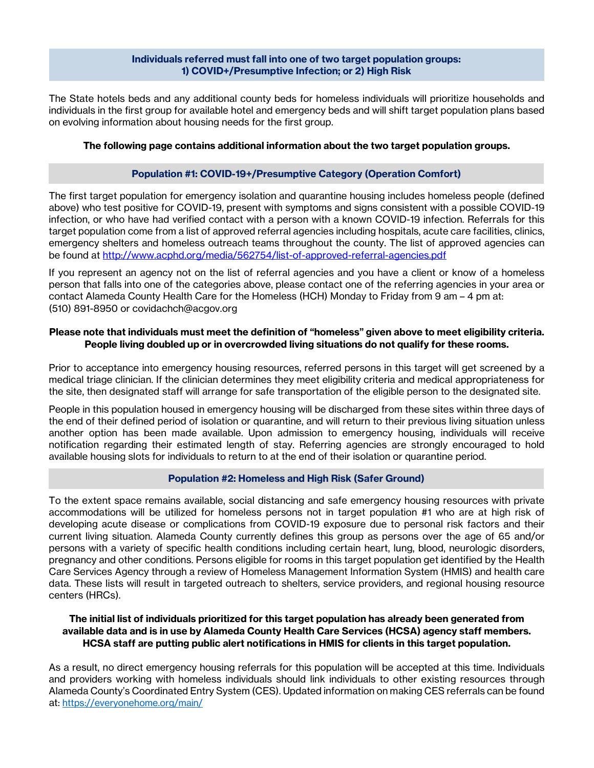#### **Individuals referred must fall into one of two target population groups: 1) COVID+/Presumptive Infection; or 2) High Risk**

The State hotels beds and any additional county beds for homeless individuals will prioritize households and individuals in the first group for available hotel and emergency beds and will shift target population plans based on evolving information about housing needs for the first group.

### **The following page contains additional information about the two target population groups.**

### **Population #1: COVID-19+/Presumptive Category (Operation Comfort)**

The first target population for emergency isolation and quarantine housing includes homeless people (defined above) who test positive for COVID-19, present with symptoms and signs consistent with a possible COVID-19 infection, or who have had verified contact with a person with a known COVID-19 infection. Referrals for this target population come from a list of approved referral agencies including hospitals, acute care facilities, clinics, emergency shelters and homeless outreach teams throughout the county. The list of approved agencies can be found at<http://www.acphd.org/media/562754/list-of-approved-referral-agencies.pdf>

If you represent an agency not on the list of referral agencies and you have a client or know of a homeless person that falls into one of the categories above, please contact one of the referring agencies in your area or contact Alameda County Health Care for the Homeless (HCH) Monday to Friday from 9 am – 4 pm at: (510) 891-8950 or covidachch@acgov.org

#### **Please note that individuals must meet the definition of "homeless" given above to meet eligibility criteria. People living doubled up or in overcrowded living situations do not qualify for these rooms.**

Prior to acceptance into emergency housing resources, referred persons in this target will get screened by a medical triage clinician. If the clinician determines they meet eligibility criteria and medical appropriateness for the site, then designated staff will arrange for safe transportation of the eligible person to the designated site.

People in this population housed in emergency housing will be discharged from these sites within three days of the end of their defined period of isolation or quarantine, and will return to their previous living situation unless another option has been made available. Upon admission to emergency housing, individuals will receive notification regarding their estimated length of stay. Referring agencies are strongly encouraged to hold available housing slots for individuals to return to at the end of their isolation or quarantine period.

#### **Population #2: Homeless and High Risk (Safer Ground)**

To the extent space remains available, social distancing and safe emergency housing resources with private accommodations will be utilized for homeless persons not in target population #1 who are at high risk of developing acute disease or complications from COVID-19 exposure due to personal risk factors and their current living situation. Alameda County currently defines this group as persons over the age of 65 and/or persons with a variety of specific health conditions including certain heart, lung, blood, neurologic disorders, pregnancy and other conditions. Persons eligible for rooms in this target population get identified by the Health Care Services Agency through a review of Homeless Management Information System (HMIS) and health care data. These lists will result in targeted outreach to shelters, service providers, and regional housing resource centers (HRCs).

### **The initial list of individuals prioritized for this target population has already been generated from available data and is in use by Alameda County Health Care Services (HCSA) agency staff members. HCSA staff are putting public alert notifications in HMIS for clients in this target population.**

As a result, no direct emergency housing referrals for this population will be accepted at this time. Individuals and providers working with homeless individuals should link individuals to other existing resources through Alameda County's Coordinated Entry System (CES). Updated information on making CES referrals can be found at:<https://everyonehome.org/main/>